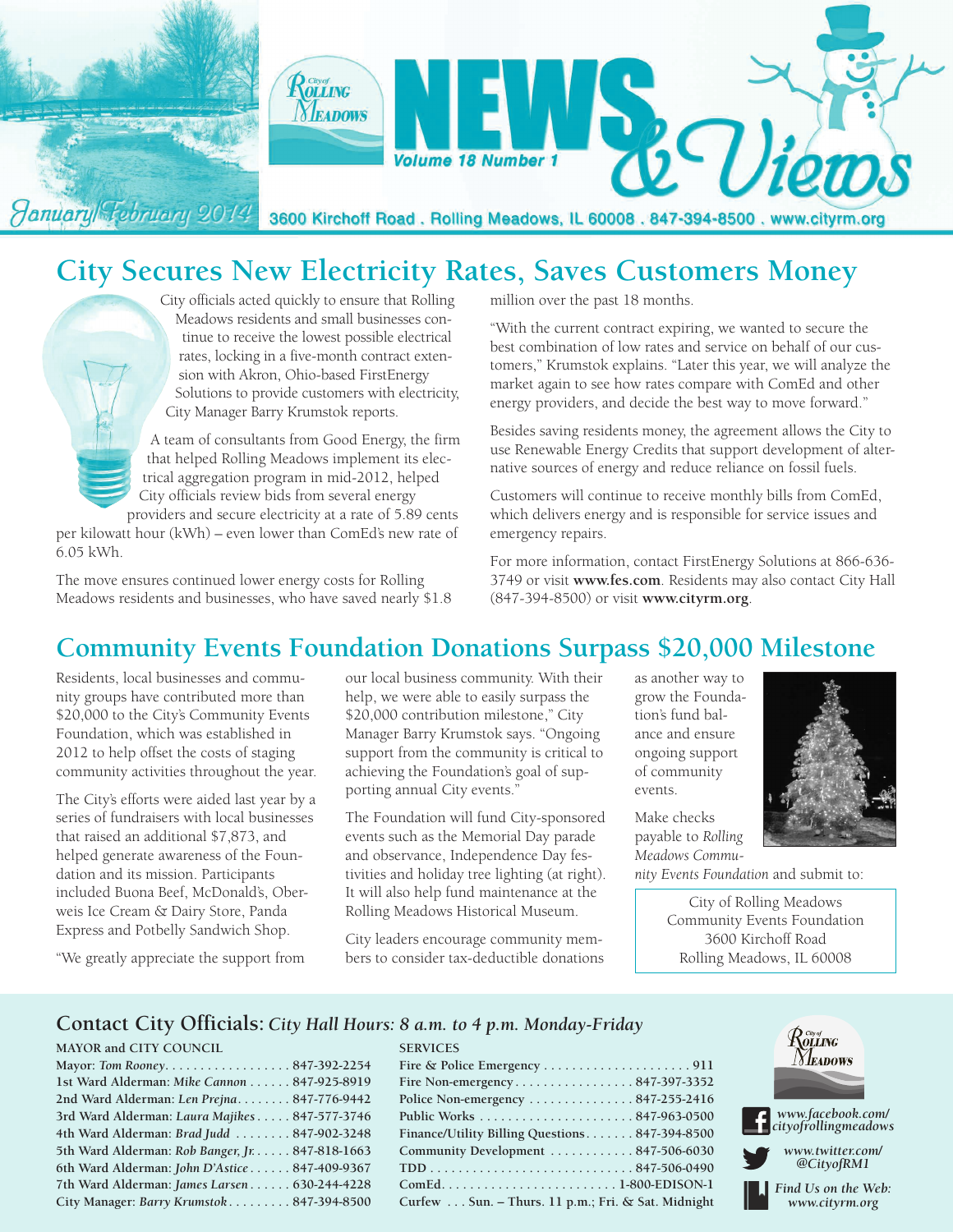

# **City Secures New Electricity Rates, Saves Customers Money**

City officials acted quickly to ensure that Rolling Meadows residents and small businesses continue to receive the lowest possible electrical rates, locking in a five-month contract extension with Akron, Ohio-based FirstEnergy Solutions to provide customers with electricity, City Manager Barry Krumstok reports.

A team of consultants from Good Energy, the firm that helped Rolling Meadows implement its electrical aggregation program in mid-2012, helped City officials review bids from several energy providers and secure electricity at a rate of 5.89 cents

per kilowatt hour (kWh) – even lower than ComEd's new rate of 6.05 kWh.

The move ensures continued lower energy costs for Rolling Meadows residents and businesses, who have saved nearly \$1.8 million over the past 18 months.

"With the current contract expiring, we wanted to secure the best combination of low rates and service on behalf of our customers," Krumstok explains. "Later this year, we will analyze the market again to see how rates compare with ComEd and other energy providers, and decide the best way to move forward."

Besides saving residents money, the agreement allows the City to use Renewable Energy Credits that support development of alternative sources of energy and reduce reliance on fossil fuels.

Customers will continue to receive monthly bills from ComEd, which delivers energy and is responsible for service issues and emergency repairs.

For more information, contact FirstEnergy Solutions at 866-636- 3749 or visit **www.fes.com**. Residents may also contact City Hall (847-394-8500) or visit **www.cityrm.org**.

# **Community Events Foundation Donations Surpass \$20,000 Milestone**

Residents, local businesses and community groups have contributed more than \$20,000 to the City's Community Events Foundation, which was established in 2012 to help offset the costs of staging community activities throughout the year.

The City's efforts were aided last year by a series of fundraisers with local businesses that raised an additional \$7,873, and helped generate awareness of the Foundation and its mission. Participants included Buona Beef, McDonald's, Oberweis Ice Cream & Dairy Store, Panda Express and Potbelly Sandwich Shop.

"We greatly appreciate the support from

our local business community. With their help, we were able to easily surpass the \$20,000 contribution milestone," City Manager Barry Krumstok says. "Ongoing support from the community is critical to achieving the Foundation's goal of supporting annual City events."

The Foundation will fund City-sponsored events such as the Memorial Day parade and observance, Independence Day festivities and holiday tree lighting (at right). It will also help fund maintenance at the Rolling Meadows Historical Museum.

City leaders encourage community members to consider tax-deductible donations

**SERVICES**

as another way to grow the Foundation's fund balance and ensure ongoing support of community events.

Make checks payable to *Rolling Meadows Commu-*



City of Rolling Meadows Community Events Foundation 3600 Kirchoff Road Rolling Meadows, IL 60008

#### **Contact City Officials:** *City Hall Hours: 8 a.m. to 4 p.m. Monday-Friday*

#### **MAYOR and CITY COUNCIL**

| Mayor: Tom Rooney847-392-2254                   |  |
|-------------------------------------------------|--|
| 1st Ward Alderman: Mike Cannon 847-925-8919     |  |
| 2nd Ward Alderman: Len Prejna 847-776-9442      |  |
| 3rd Ward Alderman: Laura Majikes 847-577-3746   |  |
| 4th Ward Alderman: Brad Judd 847-902-3248       |  |
| 5th Ward Alderman: Rob Banger, Jr. 847-818-1663 |  |
| 6th Ward Alderman: John D'Astice 847-409-9367   |  |
| 7th Ward Alderman: James Larsen 630-244-4228    |  |
| City Manager: Barry Krumstok 847-394-8500       |  |

| Fire Non-emergency847-397-3352                      |  |
|-----------------------------------------------------|--|
| Police Non-emergency 847-255-2416                   |  |
|                                                     |  |
| Finance/Utility Billing Questions 847-394-8500      |  |
| Community Development  847-506-6030                 |  |
|                                                     |  |
|                                                     |  |
| Curfew  Sun. - Thurs. 11 p.m.; Fri. & Sat. Midnight |  |

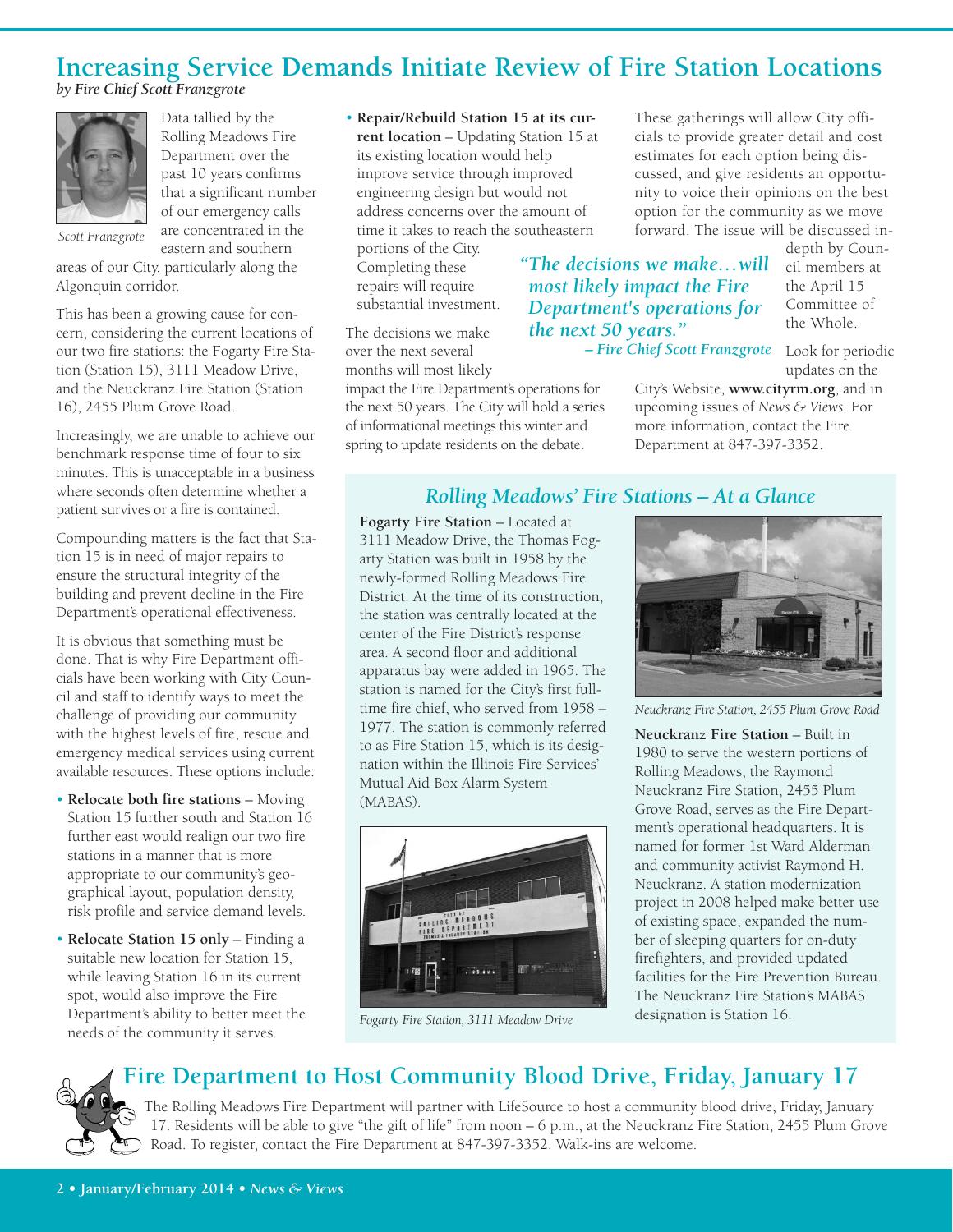# **Increasing Service Demands Initiate Review of Fire Station Locations**

*by Fire Chief Scott Franzgrote*



Data tallied by the Rolling Meadows Fire Department over the past 10 years confirms that a significant number of our emergency calls are concentrated in the eastern and southern

*Scott Franzgrote*

areas of our City, particularly along the Algonquin corridor.

This has been a growing cause for concern, considering the current locations of our two fire stations: the Fogarty Fire Station (Station 15), 3111 Meadow Drive, and the Neuckranz Fire Station (Station 16), 2455 Plum Grove Road.

Increasingly, we are unable to achieve our benchmark response time of four to six minutes. This is unacceptable in a business where seconds often determine whether a patient survives or a fire is contained.

Compounding matters is the fact that Station 15 is in need of major repairs to ensure the structural integrity of the building and prevent decline in the Fire Department's operational effectiveness.

It is obvious that something must be done. That is why Fire Department officials have been working with City Council and staff to identify ways to meet the challenge of providing our community with the highest levels of fire, rescue and emergency medical services using current available resources. These options include:

- **Relocate both fire stations** Moving Station 15 further south and Station 16 further east would realign our two fire stations in a manner that is more appropriate to our community's geographical layout, population density, risk profile and service demand levels.
- **Relocate Station 15 only** Finding a suitable new location for Station 15, while leaving Station 16 in its current spot, would also improve the Fire Department's ability to better meet the needs of the community it serves.

• **Repair/Rebuild Station 15 at its current location** – Updating Station 15 at its existing location would help improve service through improved engineering design but would not address concerns over the amount of time it takes to reach the southeastern

portions of the City. Completing these repairs will require substantial investment.

The decisions we make over the next several months will most likely

impact the Fire Department's operations for the next 50 years. The City will hold a series of informational meetings this winter and spring to update residents on the debate.

These gatherings will allow City officials to provide greater detail and cost estimates for each option being discussed, and give residents an opportunity to voice their opinions on the best option for the community as we move forward. The issue will be discussed in-

#### *"The decisions we make…will most likely impact the Fire Department's operations for the next 50 years."*

*– Fire Chief Scott Franzgrote*

depth by Council members at the April 15 Committee of the Whole.

Look for periodic updates on the

City's Website, **www.cityrm.org**, and in upcoming issues of *News & Views*. For more information, contact the Fire Department at 847-397-3352.

#### *Rolling Meadows' Fire Stations – At a Glance*

**Fogarty Fire Station** – Located at 3111 Meadow Drive, the Thomas Fogarty Station was built in 1958 by the newly-formed Rolling Meadows Fire District. At the time of its construction, the station was centrally located at the center of the Fire District's response area. A second floor and additional apparatus bay were added in 1965. The station is named for the City's first fulltime fire chief, who served from 1958 – 1977. The station is commonly referred to as Fire Station 15, which is its designation within the Illinois Fire Services' Mutual Aid Box Alarm System (MABAS).



*Fogarty Fire Station, 3111 Meadow Drive*



*Neuckranz Fire Station, 2455 Plum Grove Road*

**Neuckranz Fire Station** – Built in 1980 to serve the western portions of Rolling Meadows, the Raymond Neuckranz Fire Station, 2455 Plum Grove Road, serves as the Fire Department's operational headquarters. It is named for former 1st Ward Alderman and community activist Raymond H. Neuckranz. A station modernization project in 2008 helped make better use of existing space, expanded the number of sleeping quarters for on-duty firefighters, and provided updated facilities for the Fire Prevention Bureau. The Neuckranz Fire Station's MABAS designation is Station 16.

# **Fire Department to Host Community Blood Drive, Friday, January 17**

The Rolling Meadows Fire Department will partner with LifeSource to host a community blood drive, Friday, January 17. Residents will be able to give "the gift of life" from noon – 6 p.m., at the Neuckranz Fire Station, 2455 Plum Grove Road. To register, contact the Fire Department at 847-397-3352. Walk-ins are welcome.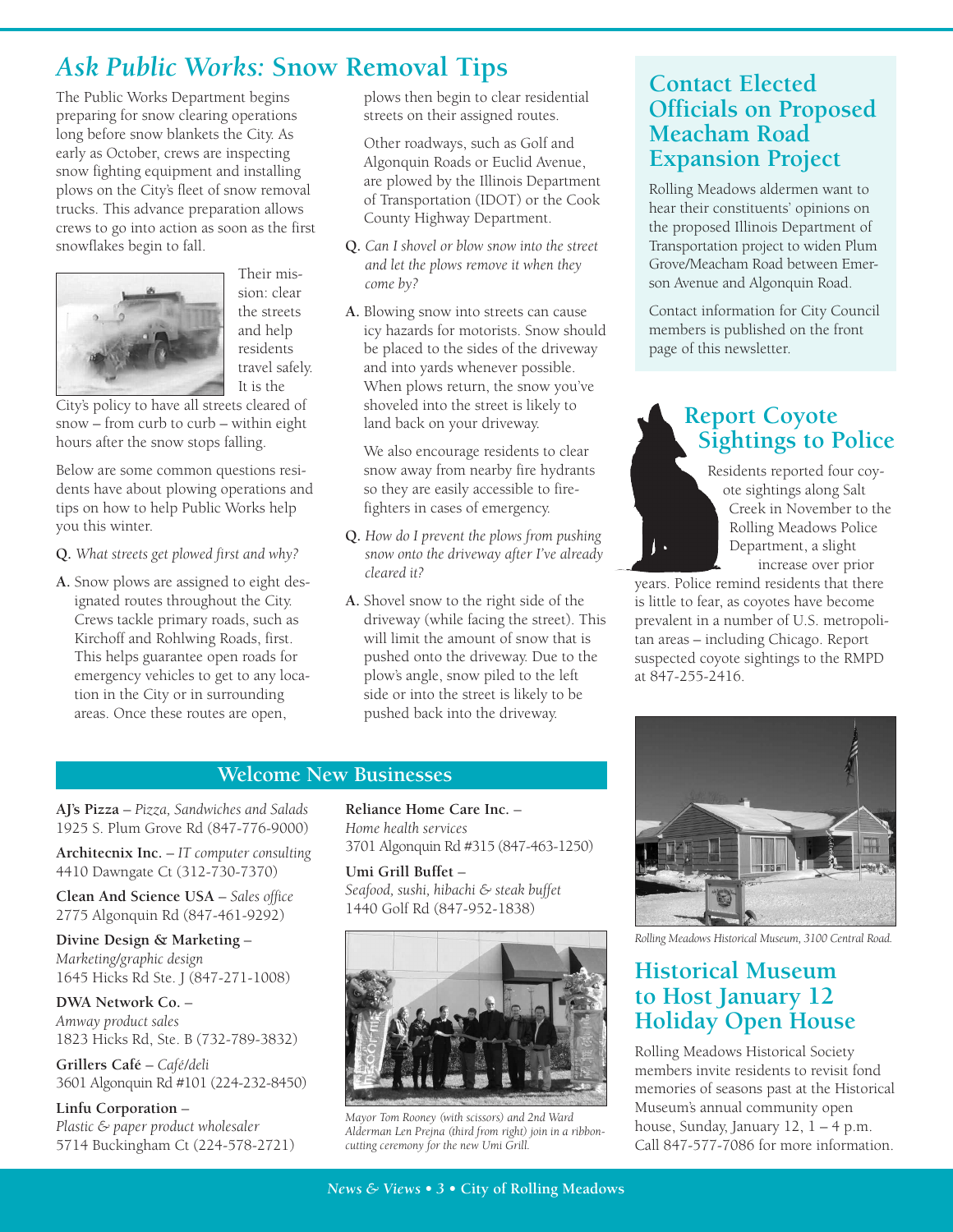# *Ask Public Works:* **Snow Removal Tips Contact Elected**

The Public Works Department begins preparing for snow clearing operations long before snow blankets the City. As early as October, crews are inspecting snow fighting equipment and installing plows on the City's fleet of snow removal trucks. This advance preparation allows crews to go into action as soon as the first snowflakes begin to fall.



sion: clear the streets and help residents travel safely. It is the

Their mis-

City's policy to have all streets cleared of snow – from curb to curb – within eight hours after the snow stops falling.

Below are some common questions residents have about plowing operations and tips on how to help Public Works help you this winter.

- **Q.** *What streets get plowed first and why?*
- **A.** Snow plows are assigned to eight designated routes throughout the City. Crews tackle primary roads, such as Kirchoff and Rohlwing Roads, first. This helps guarantee open roads for emergency vehicles to get to any location in the City or in surrounding areas. Once these routes are open,

plows then begin to clear residential streets on their assigned routes.

**A.** Other roadways, such as Golf and Algonquin Roads or Euclid Avenue, are plowed by the Illinois Department of Transportation (IDOT) or the Cook County Highway Department.

- **Q.** *Can I shovel or blow snow into the street and let the plows remove it when they come by?*
- **A.** Blowing snow into streets can cause icy hazards for motorists. Snow should be placed to the sides of the driveway and into yards whenever possible. When plows return, the snow you've shoveled into the street is likely to land back on your driveway.

**A.** We also encourage residents to clear snow away from nearby fire hydrants so they are easily accessible to firefighters in cases of emergency.

- **Q.** *How do I prevent the plows from pushing snow onto the driveway after I've already cleared it?*
- **A.** Shovel snow to the right side of the driveway (while facing the street). This will limit the amount of snow that is pushed onto the driveway. Due to the plow's angle, snow piled to the left side or into the street is likely to be pushed back into the driveway.

# **Officials on Proposed Meacham Road Expansion Project**

Rolling Meadows aldermen want to hear their constituents' opinions on the proposed Illinois Department of Transportation project to widen Plum Grove/Meacham Road between Emerson Avenue and Algonquin Road.

Contact information for City Council members is published on the front page of this newsletter.

# **Report Coyote Sightings to Police**

Residents reported four coyote sightings along Salt Creek in November to the Rolling Meadows Police Department, a slight increase over prior

years. Police remind residents that there is little to fear, as coyotes have become prevalent in a number of U.S. metropolitan areas – including Chicago. Report suspected coyote sightings to the RMPD at 847-255-2416.



**AJ's Pizza** – *Pizza, Sandwiches and Salads* 1925 S. Plum Grove Rd (847-776-9000)

**Architecnix Inc.** – *IT computer consulting* 4410 Dawngate Ct (312-730-7370)

**Clean And Science USA** – *Sales office* 2775 Algonquin Rd (847-461-9292)

**Divine Design & Marketing** – *Marketing/graphic design* 1645 Hicks Rd Ste. J (847-271-1008)

**DWA Network Co.** – *Amway product sales* 1823 Hicks Rd, Ste. B (732-789-3832)

**Grillers Café** – *Café/deli* 3601 Algonquin Rd #101 (224-232-8450)

**Linfu Corporation** – *Plastic & paper product wholesaler* 5714 Buckingham Ct (224-578-2721) **Reliance Home Care Inc.** – *Home health services* 3701 Algonquin Rd #315 (847-463-1250)

**Umi Grill Buffet** – *Seafood, sushi, hibachi & steak buffet* 1440 Golf Rd (847-952-1838)



*Mayor Tom Rooney (with scissors) and 2nd Ward Alderman Len Prejna (third from right) join in a ribboncutting ceremony for the new Umi Grill.*



*Rolling Meadows Historical Museum, 3100 Central Road.*

#### **Historical Museum to Host January 12 Holiday Open House**

Rolling Meadows Historical Society members invite residents to revisit fond memories of seasons past at the Historical Museum's annual community open house, Sunday, January 12, 1 – 4 p.m. Call 847-577-7086 for more information.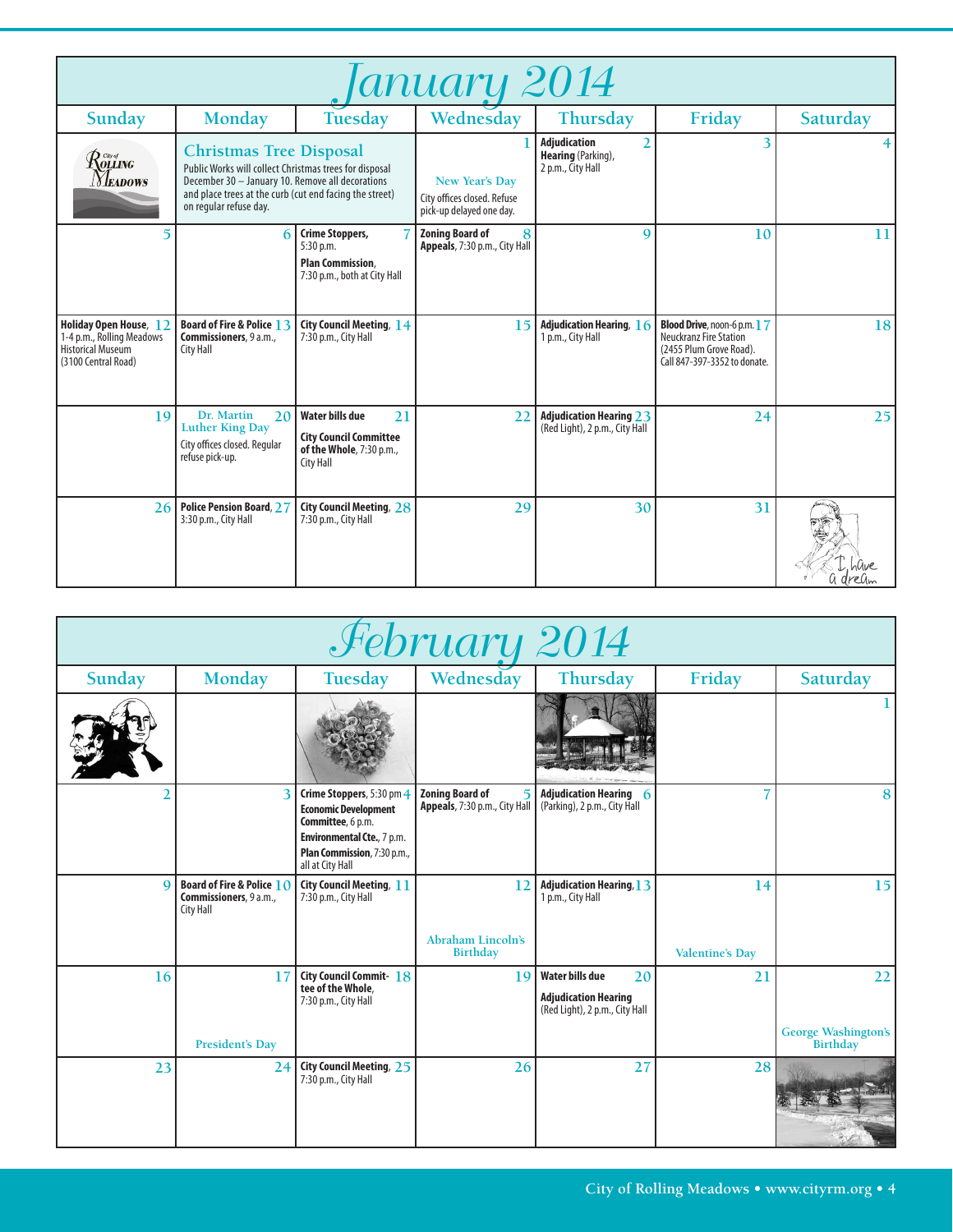| 'anuary 2014                                                                                           |                                                                                                                                                                                                                                   |                                                                                                        |                                                                                  |                                                                                         |                                                                                                                         |          |
|--------------------------------------------------------------------------------------------------------|-----------------------------------------------------------------------------------------------------------------------------------------------------------------------------------------------------------------------------------|--------------------------------------------------------------------------------------------------------|----------------------------------------------------------------------------------|-----------------------------------------------------------------------------------------|-------------------------------------------------------------------------------------------------------------------------|----------|
| Sunday                                                                                                 | <b>Monday</b>                                                                                                                                                                                                                     | <b>Tuesday</b>                                                                                         | Wednesday                                                                        | Thursday                                                                                | Friday                                                                                                                  | Saturday |
| $\mathcal{R}^{\tiny{{\scriptscriptstyle{{G\!u}^\sigma}}\!{\scriptscriptstyle{{G\!u}}}$ ing<br>Meadows  | <b>Christmas Tree Disposal</b><br>Public Works will collect Christmas trees for disposal<br>December 30 - January 10. Remove all decorations<br>and place trees at the curb (cut end facing the street)<br>on regular refuse day. |                                                                                                        | <b>New Year's Day</b><br>City offices closed. Refuse<br>pick-up delayed one day. | <b>Adjudication</b><br>$\overline{2}$<br><b>Hearing</b> (Parking),<br>2 p.m., City Hall | 3                                                                                                                       |          |
| 5                                                                                                      | 6                                                                                                                                                                                                                                 | <b>Crime Stoppers,</b><br>$5:30$ p.m.<br><b>Plan Commission,</b><br>7:30 p.m., both at City Hall       | <b>Zoning Board of</b><br>8<br>Appeals, 7:30 p.m., City Hall                     | $\mathbf Q$                                                                             | 10                                                                                                                      | 11       |
| Holiday Open House, 12<br>1-4 p.m., Rolling Meadows<br><b>Historical Museum</b><br>(3100 Central Road) | Board of Fire & Police 13<br>Commissioners, 9 a.m.,<br><b>City Hall</b>                                                                                                                                                           | City Council Meeting, 14<br>7:30 p.m., City Hall                                                       | 15                                                                               | Adjudication Hearing, 16<br>1 p.m., City Hall                                           | Blood Drive, noon-6 p.m. 17<br><b>Neuckranz Fire Station</b><br>(2455 Plum Grove Road).<br>Call 847-397-3352 to donate. | 18       |
| 19                                                                                                     | Dr. Martin<br>20<br><b>Luther King Day</b><br>City offices closed. Regular<br>refuse pick-up.                                                                                                                                     | Water bills due<br>21<br><b>City Council Committee</b><br>of the Whole, 7:30 p.m.,<br><b>City Hall</b> | 22                                                                               | <b>Adjudication Hearing 23</b><br>(Red Light), 2 p.m., City Hall                        | 24                                                                                                                      | 25       |
| 26                                                                                                     | <b>Police Pension Board, 27</b><br>3:30 p.m., City Hall                                                                                                                                                                           | City Council Meeting, 28<br>7:30 p.m., City Hall                                                       | 29                                                                               | 30                                                                                      | 31                                                                                                                      |          |

| February 2014 |                                                                                    |                                                                                                                                                                |                                                         |                                                                                               |                        |                                        |
|---------------|------------------------------------------------------------------------------------|----------------------------------------------------------------------------------------------------------------------------------------------------------------|---------------------------------------------------------|-----------------------------------------------------------------------------------------------|------------------------|----------------------------------------|
| Sunday        | <b>Monday</b>                                                                      | Tuesday                                                                                                                                                        | Wednesday                                               | Thursday                                                                                      | Friday                 | Saturday                               |
|               |                                                                                    |                                                                                                                                                                |                                                         |                                                                                               |                        |                                        |
|               | 3                                                                                  | Crime Stoppers, 5:30 pm 4<br><b>Economic Development</b><br>Committee, 6 p.m.<br>Environmental Cte., 7 p.m.<br>Plan Commission, 7:30 p.m.,<br>all at City Hall | <b>Zoning Board of</b><br>Appeals, 7:30 p.m., City Hall | <b>Adjudication Hearing 6</b><br>(Parking), 2 p.m., City Hall                                 |                        | 8                                      |
| $\Omega$      | <b>Board of Fire &amp; Police 10</b><br>Commissioners, 9 a.m.,<br><b>City Hall</b> | <b>City Council Meeting, 11</b><br>7:30 p.m., City Hall                                                                                                        | 12                                                      | <b>Adjudication Hearing, 13</b><br>1 p.m., City Hall                                          | 14                     | 15                                     |
|               |                                                                                    |                                                                                                                                                                | <b>Abraham Lincoln's</b><br><b>Birthday</b>             |                                                                                               | <b>Valentine's Day</b> |                                        |
| 16            | 17                                                                                 | City Council Commit-18<br>tee of the Whole,<br>7:30 p.m., City Hall                                                                                            | 19                                                      | <b>Water bills due</b><br>20<br><b>Adjudication Hearing</b><br>(Red Light), 2 p.m., City Hall | 21                     | 22                                     |
|               | <b>President's Day</b>                                                             |                                                                                                                                                                |                                                         |                                                                                               |                        | <b>George Washington's</b><br>Birthday |
| 23            | 24                                                                                 | City Council Meeting, 25<br>7:30 p.m., City Hall                                                                                                               | 26                                                      | 27                                                                                            | 28                     |                                        |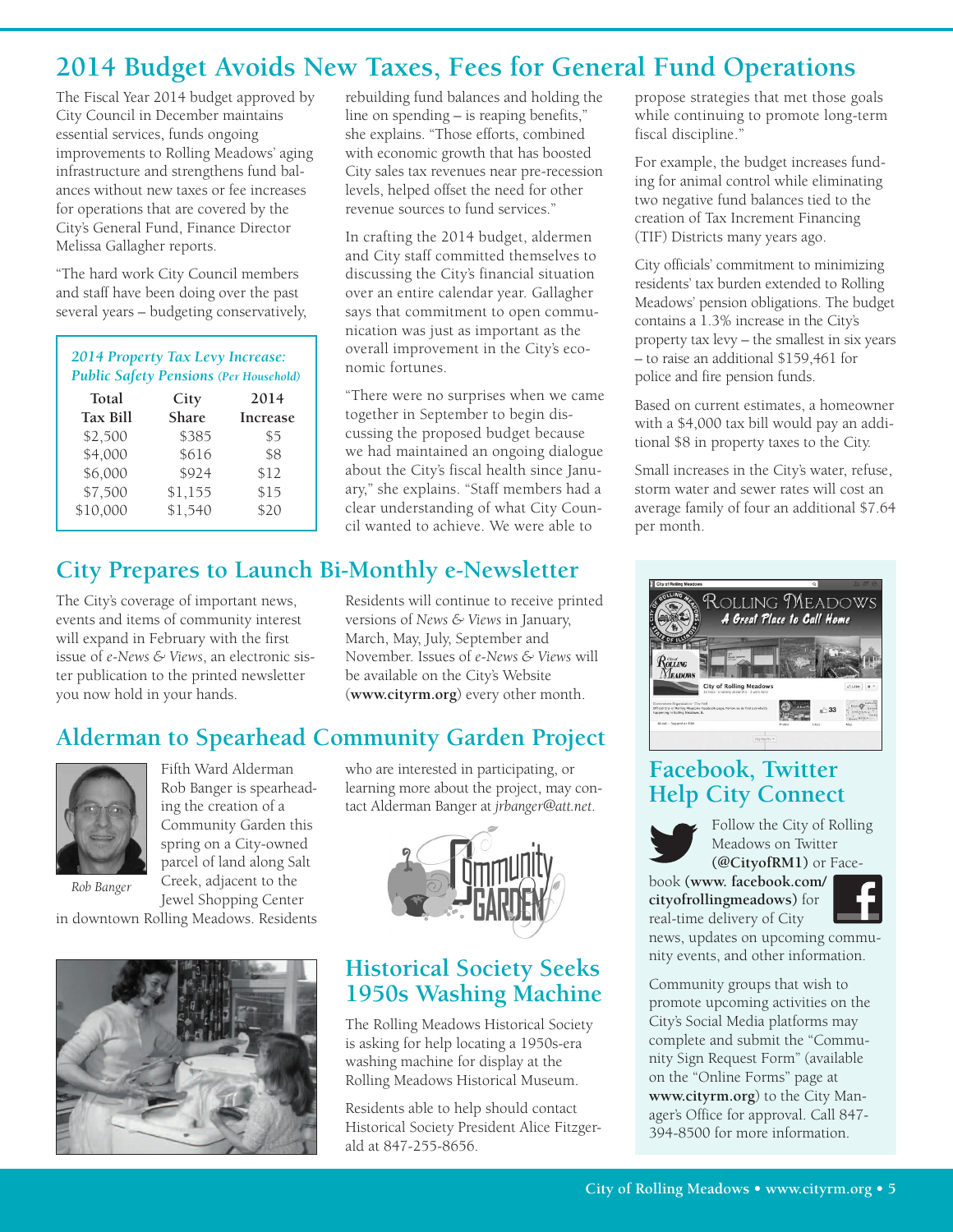# **2014 Budget Avoids New Taxes, Fees for General Fund Operations**

The Fiscal Year 2014 budget approved by City Council in December maintains essential services, funds ongoing improvements to Rolling Meadows' aging infrastructure and strengthens fund balances without new taxes or fee increases for operations that are covered by the City's General Fund, Finance Director Melissa Gallagher reports.

"The hard work City Council members and staff have been doing over the past several years – budgeting conservatively,

| 2014 Property Tax Levy Increase:<br><b>Public Safety Pensions (Per Household)</b> |         |                 |  |
|-----------------------------------------------------------------------------------|---------|-----------------|--|
| Total                                                                             | City    | 2014            |  |
| <b>Tax Bill</b>                                                                   | Share   | <b>Increase</b> |  |
| \$2,500                                                                           | \$385   | \$5             |  |
| \$4,000                                                                           | \$616   | \$8             |  |
| \$6,000                                                                           | \$924   | \$12            |  |
| \$7,500                                                                           | \$1,155 | \$15            |  |
| \$10,000                                                                          | \$1,540 | \$20            |  |

rebuilding fund balances and holding the line on spending – is reaping benefits," she explains. "Those efforts, combined with economic growth that has boosted City sales tax revenues near pre-recession levels, helped offset the need for other revenue sources to fund services."

In crafting the 2014 budget, aldermen and City staff committed themselves to discussing the City's financial situation over an entire calendar year. Gallagher says that commitment to open communication was just as important as the overall improvement in the City's economic fortunes.

"There were no surprises when we came together in September to begin discussing the proposed budget because we had maintained an ongoing dialogue about the City's fiscal health since January," she explains. "Staff members had a clear understanding of what City Council wanted to achieve. We were able to

# **City Prepares to Launch Bi-Monthly e-Newsletter**

The City's coverage of important news, events and items of community interest will expand in February with the first issue of *e-News & Views*, an electronic sister publication to the printed newsletter you now hold in your hands.

Residents will continue to receive printed versions of *News & Views* in January, March, May, July, September and November. Issues of *e-News & Views* will be available on the City's Website (**www.cityrm.org**) every other month.

# **Alderman to Spearhead Community Garden Project**



Fifth Ward Alderman Rob Banger is spearheading the creation of a Community Garden this spring on a City-owned parcel of land along Salt Creek, adjacent to the Jewel Shopping Center

*Rob Banger*

in downtown Rolling Meadows. Residents



who are interested in participating, or learning more about the project, may contact Alderman Banger at *jrbanger@att.net*.



#### **Historical Society Seeks 1950s Washing Machine**

The Rolling Meadows Historical Society is asking for help locating a 1950s-era washing machine for display at the Rolling Meadows Historical Museum.

Residents able to help should contact Historical Society President Alice Fitzgerald at 847-255-8656.

propose strategies that met those goals while continuing to promote long-term fiscal discipline."

For example, the budget increases funding for animal control while eliminating two negative fund balances tied to the creation of Tax Increment Financing (TIF) Districts many years ago.

City officials' commitment to minimizing residents' tax burden extended to Rolling Meadows' pension obligations. The budget contains a 1.3% increase in the City's property tax levy – the smallest in six years – to raise an additional \$159,461 for police and fire pension funds.

Based on current estimates, a homeowner with a \$4,000 tax bill would pay an additional \$8 in property taxes to the City.

Small increases in the City's water, refuse, storm water and sewer rates will cost an average family of four an additional \$7.64 per month.



### **Facebook, Twitter Help City Connect**



Follow the City of Rolling Meadows on Twitter **(@CityofRM1)** or Face-

book **(www. facebook.com/ cityofrollingmeadows)** for real-time delivery of City news, updates on upcoming community events, and other information.

Community groups that wish to promote upcoming activities on the City's Social Media platforms may complete and submit the "Community Sign Request Form" (available on the "Online Forms" page at **www.cityrm.org**) to the City Manager's Office for approval. Call 847- 394-8500 for more information.